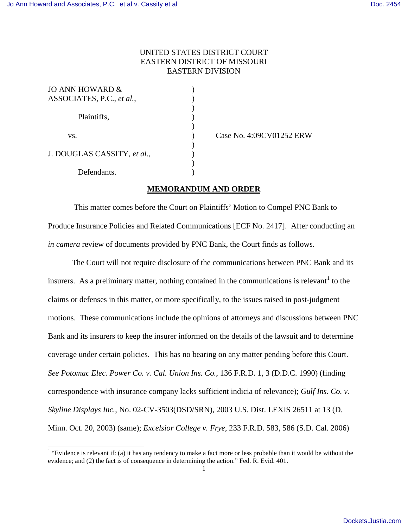$\overline{a}$ 

## UNITED STATES DISTRICT COURT EASTERN DISTRICT OF MISSOURI EASTERN DIVISION

| JO ANN HOWARD &             |  |
|-----------------------------|--|
| ASSOCIATES, P.C., et al.,   |  |
|                             |  |
| Plaintiffs,                 |  |
|                             |  |
| VS.                         |  |
|                             |  |
| J. DOUGLAS CASSITY, et al., |  |
|                             |  |
| Defendants                  |  |

) Case No. 4:09CV01252 ERW

## **MEMORANDUM AND ORDER**

 This matter comes before the Court on Plaintiffs' Motion to Compel PNC Bank to Produce Insurance Policies and Related Communications [ECF No. 2417]. After conducting an *in camera* review of documents provided by PNC Bank, the Court finds as follows.

 The Court will not require disclosure of the communications between PNC Bank and its insurers. As a preliminary matter, nothing contained in the communications is relevant<sup>[1](#page-0-0)</sup> to the claims or defenses in this matter, or more specifically, to the issues raised in post-judgment motions. These communications include the opinions of attorneys and discussions between PNC Bank and its insurers to keep the insurer informed on the details of the lawsuit and to determine coverage under certain policies. This has no bearing on any matter pending before this Court. *See Potomac Elec. Power Co. v. Cal. Union Ins. Co.*, 136 F.R.D. 1, 3 (D.D.C. 1990) (finding correspondence with insurance company lacks sufficient indicia of relevance); *Gulf Ins. Co. v. Skyline Displays Inc.*, No. 02-CV-3503(DSD/SRN), 2003 U.S. Dist. LEXIS 26511 at 13 (D. Minn. Oct. 20, 2003) (same); *Excelsior College v. Frye*, 233 F.R.D. 583, 586 (S.D. Cal. 2006)

<span id="page-0-0"></span><sup>&</sup>lt;sup>1</sup> "Evidence is relevant if: (a) it has any tendency to make a fact more or less probable than it would be without the evidence; and (2) the fact is of consequence in determining the action." Fed. R. Evid. 401.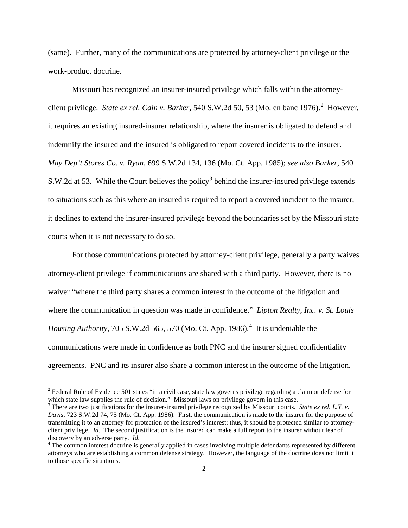(same). Further, many of the communications are protected by attorney-client privilege or the work-product doctrine.

Missouri has recognized an insurer-insured privilege which falls within the attorneyclient privilege. *State ex rel. Cain v. Barker*, 540 S.W.[2](#page-1-0)d 50, 53 (Mo. en banc 1976).<sup>2</sup> However, it requires an existing insured-insurer relationship, where the insurer is obligated to defend and indemnify the insured and the insured is obligated to report covered incidents to the insurer. *May Dep't Stores Co. v. Ryan*, 699 S.W.2d 134, 136 (Mo. Ct. App. 1985); *see also Barker*, 540 S.W.2d at 5[3](#page-1-1). While the Court believes the policy<sup>3</sup> behind the insurer-insured privilege extends to situations such as this where an insured is required to report a covered incident to the insurer, it declines to extend the insurer-insured privilege beyond the boundaries set by the Missouri state courts when it is not necessary to do so.

For those communications protected by attorney-client privilege, generally a party waives attorney-client privilege if communications are shared with a third party. However, there is no waiver "where the third party shares a common interest in the outcome of the litigation and where the communication in question was made in confidence." *Lipton Realty, Inc. v. St. Louis Housing Authority*, 705 S.W.2d 565, 570 (Mo. Ct. App. 1986).<sup>[4](#page-1-2)</sup> It is undeniable the communications were made in confidence as both PNC and the insurer signed confidentiality agreements. PNC and its insurer also share a common interest in the outcome of the litigation.

-

<span id="page-1-0"></span> $2^2$  Federal Rule of Evidence 501 states "in a civil case, state law governs privilege regarding a claim or defense for which state law supplies the rule of decision." Missouri laws on privilege govern in this case.

<span id="page-1-1"></span><sup>3</sup> There are two justifications for the insurer-insured privilege recognized by Missouri courts. *State ex rel. L.Y. v. Davis*, 723 S.W.2d 74, 75 (Mo. Ct. App. 1986). First, the communication is made to the insurer for the purpose of transmitting it to an attorney for protection of the insured's interest; thus, it should be protected similar to attorneyclient privilege. *Id.* The second justification is the insured can make a full report to the insurer without fear of discovery by an adverse party. *Id.*

<span id="page-1-2"></span><sup>&</sup>lt;sup>4</sup> The common interest doctrine is generally applied in cases involving multiple defendants represented by different attorneys who are establishing a common defense strategy. However, the language of the doctrine does not limit it to those specific situations.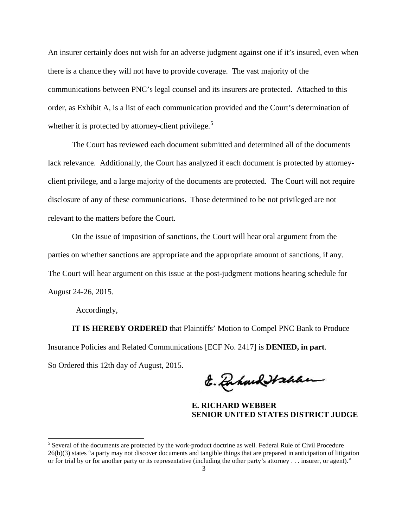An insurer certainly does not wish for an adverse judgment against one if it's insured, even when there is a chance they will not have to provide coverage. The vast majority of the communications between PNC's legal counsel and its insurers are protected. Attached to this order, as Exhibit A, is a list of each communication provided and the Court's determination of whether it is protected by attorney-client privilege.<sup>[5](#page-2-0)</sup>

The Court has reviewed each document submitted and determined all of the documents lack relevance. Additionally, the Court has analyzed if each document is protected by attorneyclient privilege, and a large majority of the documents are protected. The Court will not require disclosure of any of these communications. Those determined to be not privileged are not relevant to the matters before the Court.

 On the issue of imposition of sanctions, the Court will hear oral argument from the parties on whether sanctions are appropriate and the appropriate amount of sanctions, if any. The Court will hear argument on this issue at the post-judgment motions hearing schedule for August 24-26, 2015.

Accordingly,

 $\overline{a}$ 

**IT IS HEREBY ORDERED** that Plaintiffs' Motion to Compel PNC Bank to Produce Insurance Policies and Related Communications [ECF No. 2417] is **DENIED, in part**. So Ordered this 12th day of August, 2015.

E. Dahard Hahan

**E. RICHARD WEBBER SENIOR UNITED STATES DISTRICT JUDGE**

<span id="page-2-0"></span><sup>&</sup>lt;sup>5</sup> Several of the documents are protected by the work-product doctrine as well. Federal Rule of Civil Procedure 26(b)(3) states "a party may not discover documents and tangible things that are prepared in anticipation of litigation or for trial by or for another party or its representative (including the other party's attorney . . . insurer, or agent)."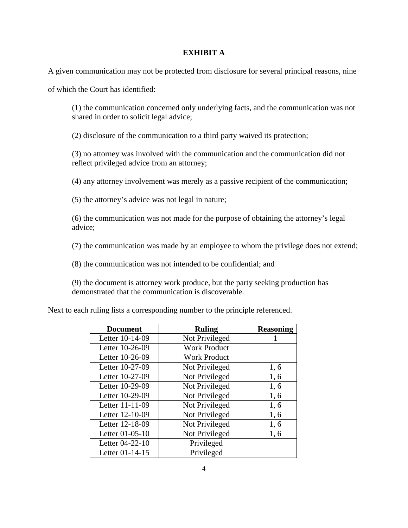## **EXHIBIT A**

A given communication may not be protected from disclosure for several principal reasons, nine

of which the Court has identified:

(1) the communication concerned only underlying facts, and the communication was not shared in order to solicit legal advice;

(2) disclosure of the communication to a third party waived its protection;

(3) no attorney was involved with the communication and the communication did not reflect privileged advice from an attorney;

(4) any attorney involvement was merely as a passive recipient of the communication;

(5) the attorney's advice was not legal in nature;

(6) the communication was not made for the purpose of obtaining the attorney's legal advice;

(7) the communication was made by an employee to whom the privilege does not extend;

(8) the communication was not intended to be confidential; and

(9) the document is attorney work produce, but the party seeking production has demonstrated that the communication is discoverable.

Next to each ruling lists a corresponding number to the principle referenced.

| <b>Document</b> | <b>Ruling</b>       | <b>Reasoning</b> |
|-----------------|---------------------|------------------|
| Letter 10-14-09 | Not Privileged      |                  |
| Letter 10-26-09 | <b>Work Product</b> |                  |
| Letter 10-26-09 | <b>Work Product</b> |                  |
| Letter 10-27-09 | Not Privileged      | 1, 6             |
| Letter 10-27-09 | Not Privileged      | 1, 6             |
| Letter 10-29-09 | Not Privileged      | 1, 6             |
| Letter 10-29-09 | Not Privileged      | 1,6              |
| Letter 11-11-09 | Not Privileged      | 1, 6             |
| Letter 12-10-09 | Not Privileged      | 1, 6             |
| Letter 12-18-09 | Not Privileged      | 1, 6             |
| Letter 01-05-10 | Not Privileged      | 1, 6             |
| Letter 04-22-10 | Privileged          |                  |
| Letter 01-14-15 | Privileged          |                  |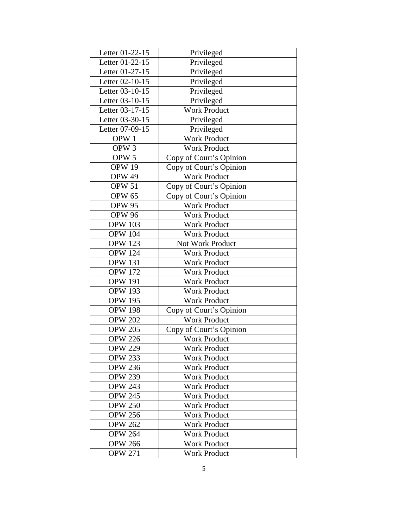| Letter 01-22-15  | Privileged              |  |
|------------------|-------------------------|--|
| Letter 01-22-15  | Privileged              |  |
| Letter 01-27-15  | Privileged              |  |
| Letter 02-10-15  | Privileged              |  |
| Letter 03-10-15  | Privileged              |  |
| Letter 03-10-15  | Privileged              |  |
| Letter 03-17-15  | <b>Work Product</b>     |  |
| Letter 03-30-15  | Privileged              |  |
| Letter 07-09-15  | Privileged              |  |
| OPW <sub>1</sub> | Work Product            |  |
| OPW <sub>3</sub> | <b>Work Product</b>     |  |
| OPW <sub>5</sub> | Copy of Court's Opinion |  |
| <b>OPW 19</b>    | Copy of Court's Opinion |  |
| OPW 49           | <b>Work Product</b>     |  |
| OPW 51           | Copy of Court's Opinion |  |
| <b>OPW 65</b>    | Copy of Court's Opinion |  |
| <b>OPW 95</b>    | <b>Work Product</b>     |  |
| <b>OPW 96</b>    | <b>Work Product</b>     |  |
| <b>OPW 103</b>   | <b>Work Product</b>     |  |
| <b>OPW 104</b>   | <b>Work Product</b>     |  |
| <b>OPW 123</b>   | Not Work Product        |  |
| <b>OPW 124</b>   | <b>Work Product</b>     |  |
| <b>OPW 131</b>   | <b>Work Product</b>     |  |
| <b>OPW 172</b>   | <b>Work Product</b>     |  |
| <b>OPW 191</b>   | <b>Work Product</b>     |  |
| <b>OPW 193</b>   | <b>Work Product</b>     |  |
| <b>OPW 195</b>   | <b>Work Product</b>     |  |
| <b>OPW 198</b>   | Copy of Court's Opinion |  |
| <b>OPW 202</b>   | <b>Work Product</b>     |  |
| <b>OPW 205</b>   | Copy of Court's Opinion |  |
| <b>OPW 226</b>   | <b>Work Product</b>     |  |
| <b>OPW 229</b>   | Work Product            |  |
| <b>OPW 233</b>   | <b>Work Product</b>     |  |
| <b>OPW 236</b>   | <b>Work Product</b>     |  |
| <b>OPW 239</b>   | <b>Work Product</b>     |  |
| <b>OPW 243</b>   | <b>Work Product</b>     |  |
| <b>OPW 245</b>   | <b>Work Product</b>     |  |
| <b>OPW 250</b>   | <b>Work Product</b>     |  |
| <b>OPW 256</b>   | <b>Work Product</b>     |  |
| <b>OPW 262</b>   | <b>Work Product</b>     |  |
| <b>OPW 264</b>   | <b>Work Product</b>     |  |
| <b>OPW 266</b>   | <b>Work Product</b>     |  |
| <b>OPW 271</b>   | <b>Work Product</b>     |  |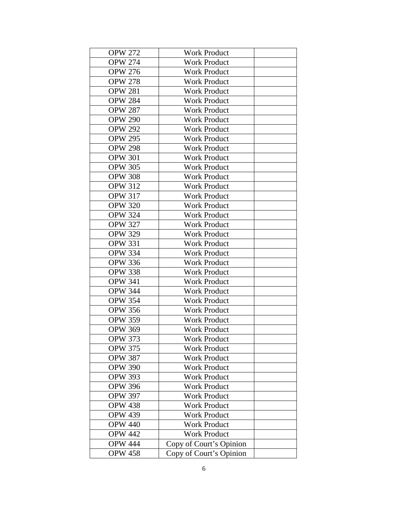| <b>OPW 272</b> | <b>Work Product</b>     |  |
|----------------|-------------------------|--|
| <b>OPW 274</b> | <b>Work Product</b>     |  |
| <b>OPW 276</b> | <b>Work Product</b>     |  |
| <b>OPW 278</b> | <b>Work Product</b>     |  |
| <b>OPW 281</b> | <b>Work Product</b>     |  |
| <b>OPW 284</b> | <b>Work Product</b>     |  |
| <b>OPW 287</b> | <b>Work Product</b>     |  |
| <b>OPW 290</b> | <b>Work Product</b>     |  |
| <b>OPW 292</b> | <b>Work Product</b>     |  |
| <b>OPW 295</b> | <b>Work Product</b>     |  |
| <b>OPW 298</b> | <b>Work Product</b>     |  |
| <b>OPW 301</b> | <b>Work Product</b>     |  |
| <b>OPW 305</b> | <b>Work Product</b>     |  |
| <b>OPW 308</b> | <b>Work Product</b>     |  |
| <b>OPW 312</b> | <b>Work Product</b>     |  |
| <b>OPW 317</b> | <b>Work Product</b>     |  |
| <b>OPW 320</b> | <b>Work Product</b>     |  |
| <b>OPW 324</b> | <b>Work Product</b>     |  |
| <b>OPW 327</b> | <b>Work Product</b>     |  |
| <b>OPW 329</b> | <b>Work Product</b>     |  |
| <b>OPW 331</b> | <b>Work Product</b>     |  |
| <b>OPW 334</b> | <b>Work Product</b>     |  |
| <b>OPW 336</b> | <b>Work Product</b>     |  |
| <b>OPW 338</b> | <b>Work Product</b>     |  |
| <b>OPW 341</b> | <b>Work Product</b>     |  |
| <b>OPW 344</b> | <b>Work Product</b>     |  |
| <b>OPW 354</b> | <b>Work Product</b>     |  |
| <b>OPW 356</b> | <b>Work Product</b>     |  |
| <b>OPW 359</b> | <b>Work Product</b>     |  |
| <b>OPW 369</b> | <b>Work Product</b>     |  |
| <b>OPW 373</b> | <b>Work Product</b>     |  |
| <b>OPW 375</b> | <b>Work Product</b>     |  |
| <b>OPW 387</b> | <b>Work Product</b>     |  |
| <b>OPW 390</b> | <b>Work Product</b>     |  |
| <b>OPW 393</b> | <b>Work Product</b>     |  |
| <b>OPW 396</b> | <b>Work Product</b>     |  |
| <b>OPW 397</b> | <b>Work Product</b>     |  |
| <b>OPW 438</b> | <b>Work Product</b>     |  |
| <b>OPW 439</b> | <b>Work Product</b>     |  |
| <b>OPW 440</b> | <b>Work Product</b>     |  |
| <b>OPW 442</b> | <b>Work Product</b>     |  |
| <b>OPW 444</b> | Copy of Court's Opinion |  |
| <b>OPW 458</b> | Copy of Court's Opinion |  |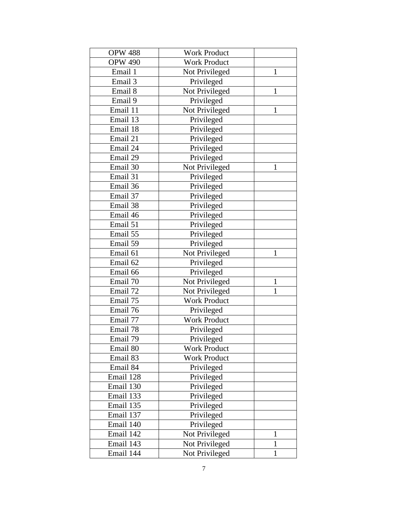| <b>OPW 488</b> | <b>Work Product</b> |              |
|----------------|---------------------|--------------|
| <b>OPW 490</b> | <b>Work Product</b> |              |
| Email 1        | Not Privileged      | $\mathbf{1}$ |
| Email 3        | Privileged          |              |
| Email 8        | Not Privileged      | $\mathbf{1}$ |
| Email 9        | Privileged          |              |
| Email 11       | Not Privileged      | $\mathbf{1}$ |
| Email 13       | Privileged          |              |
| Email 18       | Privileged          |              |
| Email 21       | Privileged          |              |
| Email 24       | Privileged          |              |
| Email 29       | Privileged          |              |
| Email 30       | Not Privileged      | 1            |
| Email 31       | Privileged          |              |
| Email 36       | Privileged          |              |
| Email 37       | Privileged          |              |
| Email 38       | Privileged          |              |
| Email 46       | Privileged          |              |
| Email 51       | Privileged          |              |
| Email 55       | Privileged          |              |
| Email 59       | Privileged          |              |
| Email 61       | Not Privileged      | $\mathbf{1}$ |
| Email 62       | Privileged          |              |
| Email 66       | Privileged          |              |
| Email 70       | Not Privileged      | $\mathbf{1}$ |
| Email 72       | Not Privileged      | 1            |
| Email 75       | <b>Work Product</b> |              |
| Email 76       | Privileged          |              |
| Email 77       | <b>Work Product</b> |              |
| Email 78       | Privileged          |              |
| Email 79       | Privileged          |              |
| Email 80       | <b>Work Product</b> |              |
| Email 83       | <b>Work Product</b> |              |
| Email 84       | Privileged          |              |
| Email 128      | Privileged          |              |
| Email 130      | Privileged          |              |
| Email 133      | Privileged          |              |
| Email 135      | Privileged          |              |
| Email 137      | Privileged          |              |
| Email 140      | Privileged          |              |
| Email 142      | Not Privileged      | $\mathbf{1}$ |
| Email 143      | Not Privileged      | $\mathbf{1}$ |
| Email 144      | Not Privileged      | $\mathbf{1}$ |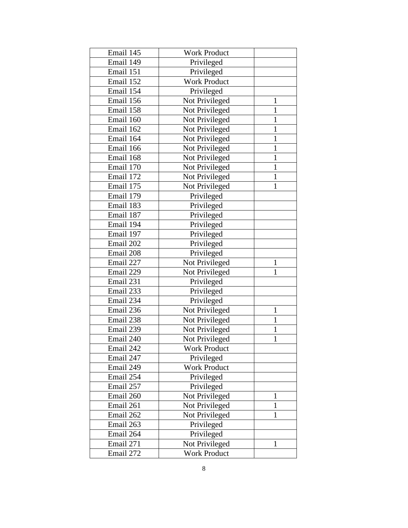| Email 145 | <b>Work Product</b> |              |
|-----------|---------------------|--------------|
| Email 149 | Privileged          |              |
| Email 151 | Privileged          |              |
| Email 152 | <b>Work Product</b> |              |
| Email 154 | Privileged          |              |
| Email 156 | Not Privileged      | 1            |
| Email 158 | Not Privileged      | 1            |
| Email 160 | Not Privileged      | $\mathbf{1}$ |
| Email 162 | Not Privileged      | $\mathbf{1}$ |
| Email 164 | Not Privileged      | $\mathbf{1}$ |
| Email 166 | Not Privileged      | $\mathbf{1}$ |
| Email 168 | Not Privileged      | 1            |
| Email 170 | Not Privileged      | $\mathbf{1}$ |
| Email 172 | Not Privileged      | 1            |
| Email 175 | Not Privileged      | $\mathbf{1}$ |
| Email 179 | Privileged          |              |
| Email 183 | Privileged          |              |
| Email 187 | Privileged          |              |
| Email 194 | Privileged          |              |
| Email 197 | Privileged          |              |
| Email 202 | Privileged          |              |
| Email 208 | Privileged          |              |
| Email 227 | Not Privileged      | $\mathbf{1}$ |
| Email 229 | Not Privileged      | $\mathbf{1}$ |
| Email 231 | Privileged          |              |
| Email 233 | Privileged          |              |
| Email 234 | Privileged          |              |
| Email 236 | Not Privileged      | $\mathbf{1}$ |
| Email 238 | Not Privileged      | $\mathbf{1}$ |
| Email 239 | Not Privileged      | $\mathbf{1}$ |
| Email 240 | Not Privileged      | $\mathbf{1}$ |
| Email 242 | Work Product        |              |
| Email 247 | Privileged          |              |
| Email 249 | <b>Work Product</b> |              |
| Email 254 | Privileged          |              |
| Email 257 | Privileged          |              |
| Email 260 | Not Privileged      | $\mathbf{1}$ |
| Email 261 | Not Privileged      | $\mathbf{1}$ |
| Email 262 | Not Privileged      | 1            |
| Email 263 | Privileged          |              |
| Email 264 | Privileged          |              |
| Email 271 | Not Privileged      | 1            |
| Email 272 | Work Product        |              |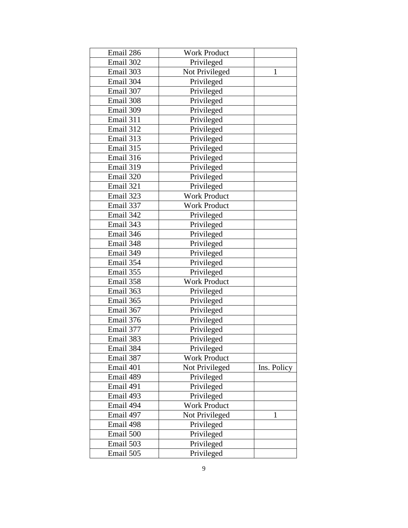| Email 286 | <b>Work Product</b> |             |
|-----------|---------------------|-------------|
| Email 302 | Privileged          |             |
| Email 303 | Not Privileged      | 1           |
| Email 304 | Privileged          |             |
| Email 307 | Privileged          |             |
| Email 308 | Privileged          |             |
| Email 309 | Privileged          |             |
| Email 311 | Privileged          |             |
| Email 312 | Privileged          |             |
| Email 313 | Privileged          |             |
| Email 315 | Privileged          |             |
| Email 316 | Privileged          |             |
| Email 319 | Privileged          |             |
| Email 320 | Privileged          |             |
| Email 321 | Privileged          |             |
| Email 323 | <b>Work Product</b> |             |
| Email 337 | <b>Work Product</b> |             |
| Email 342 | Privileged          |             |
| Email 343 | Privileged          |             |
| Email 346 | Privileged          |             |
| Email 348 | Privileged          |             |
| Email 349 | Privileged          |             |
| Email 354 | Privileged          |             |
| Email 355 | Privileged          |             |
| Email 358 | <b>Work Product</b> |             |
| Email 363 | Privileged          |             |
| Email 365 | Privileged          |             |
| Email 367 | Privileged          |             |
| Email 376 | Privileged          |             |
| Email 377 | Privileged          |             |
| Email 383 | Privileged          |             |
| Email 384 | Privileged          |             |
| Email 387 | <b>Work Product</b> |             |
| Email 401 | Not Privileged      | Ins. Policy |
| Email 489 | Privileged          |             |
| Email 491 | Privileged          |             |
| Email 493 | Privileged          |             |
| Email 494 | <b>Work Product</b> |             |
| Email 497 | Not Privileged      | 1           |
| Email 498 | Privileged          |             |
| Email 500 | Privileged          |             |
| Email 503 | Privileged          |             |
| Email 505 | Privileged          |             |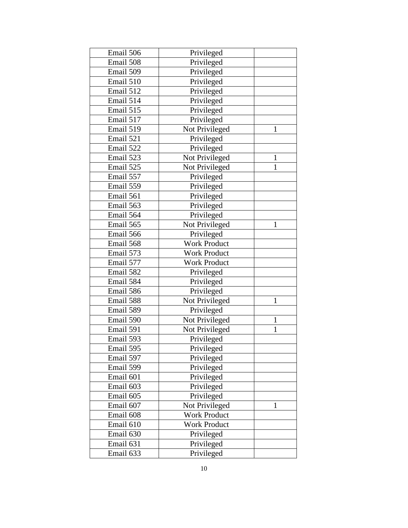| Email 506 | Privileged          |              |
|-----------|---------------------|--------------|
| Email 508 | Privileged          |              |
| Email 509 | Privileged          |              |
| Email 510 | Privileged          |              |
| Email 512 | Privileged          |              |
| Email 514 | Privileged          |              |
| Email 515 | Privileged          |              |
| Email 517 | Privileged          |              |
| Email 519 | Not Privileged      | 1            |
| Email 521 | Privileged          |              |
| Email 522 | Privileged          |              |
| Email 523 | Not Privileged      | $\mathbf{1}$ |
| Email 525 | Not Privileged      | $\mathbf{1}$ |
| Email 557 | Privileged          |              |
| Email 559 | Privileged          |              |
| Email 561 | Privileged          |              |
| Email 563 | Privileged          |              |
| Email 564 | Privileged          |              |
| Email 565 | Not Privileged      | $\mathbf{1}$ |
| Email 566 | Privileged          |              |
| Email 568 | <b>Work Product</b> |              |
| Email 573 | <b>Work Product</b> |              |
| Email 577 | <b>Work Product</b> |              |
| Email 582 | Privileged          |              |
| Email 584 | Privileged          |              |
| Email 586 | Privileged          |              |
| Email 588 | Not Privileged      | 1            |
| Email 589 | Privileged          |              |
| Email 590 | Not Privileged      | $\mathbf{1}$ |
| Email 591 | Not Privileged      | $\mathbf{1}$ |
| Email 593 | Privileged          |              |
| Email 595 | Privileged          |              |
| Email 597 | Privileged          |              |
| Email 599 | Privileged          |              |
| Email 601 | Privileged          |              |
| Email 603 | Privileged          |              |
| Email 605 | Privileged          |              |
| Email 607 | Not Privileged      | 1            |
| Email 608 | <b>Work Product</b> |              |
| Email 610 | <b>Work Product</b> |              |
| Email 630 | Privileged          |              |
| Email 631 | Privileged          |              |
| Email 633 | Privileged          |              |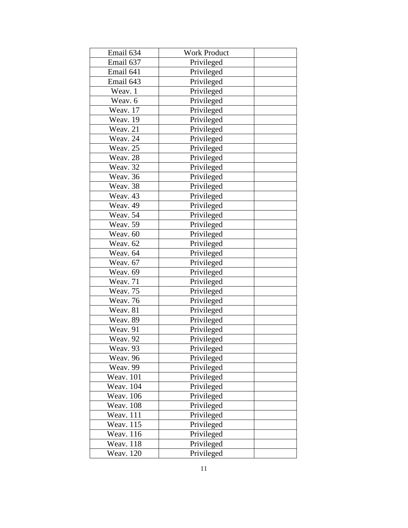| Email 634        | <b>Work Product</b> |  |
|------------------|---------------------|--|
| Email 637        | Privileged          |  |
| Email 641        | Privileged          |  |
| Email 643        | Privileged          |  |
| Weav. 1          | Privileged          |  |
| Weav. 6          | Privileged          |  |
| Weav. 17         | Privileged          |  |
| Weav. 19         | Privileged          |  |
| Weav. 21         | Privileged          |  |
| Weav. 24         | Privileged          |  |
| Weav. 25         | Privileged          |  |
| Weav. 28         | Privileged          |  |
| Weav. 32         | Privileged          |  |
| Weav. 36         | Privileged          |  |
| Weav. 38         | Privileged          |  |
| Weav. 43         | Privileged          |  |
| Weav. 49         | Privileged          |  |
| Weav. 54         | Privileged          |  |
| Weav. 59         | Privileged          |  |
| Weav. 60         | Privileged          |  |
| Weav. 62         | Privileged          |  |
| Weav. 64         | Privileged          |  |
| Weav. 67         | Privileged          |  |
| Weav. 69         | Privileged          |  |
| Weav. 71         | Privileged          |  |
| Weav. 75         | Privileged          |  |
| Weav. 76         | Privileged          |  |
| Weav. 81         | Privileged          |  |
| Weav. 89         | Privileged          |  |
| Weav. 91         | Privileged          |  |
| Weav. 92         | Privileged          |  |
| Weav. 93         | Privileged          |  |
| Weav. 96         | Privileged          |  |
| Weav. 99         | Privileged          |  |
| <b>Weav.</b> 101 | Privileged          |  |
| <b>Weav.</b> 104 | Privileged          |  |
| Weav. 106        | Privileged          |  |
| <b>Weav. 108</b> | Privileged          |  |
| Weav. 111        | Privileged          |  |
| Weav. 115        | Privileged          |  |
| <b>Weav.</b> 116 | Privileged          |  |
| <b>Weav.</b> 118 | Privileged          |  |
| <b>Weav.</b> 120 | Privileged          |  |